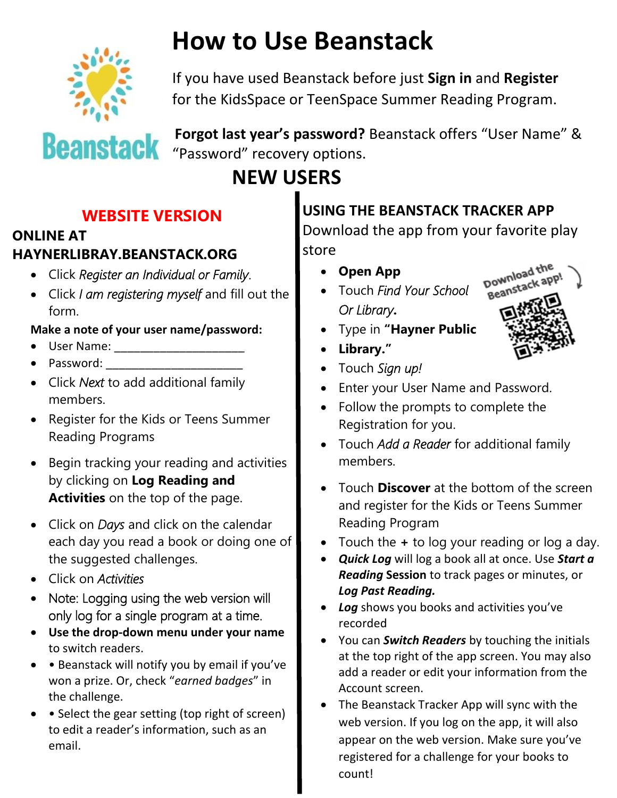

# **How to Use Beanstack**

If you have used Beanstack before just **Sign in** and **Register** for the KidsSpace or TeenSpace Summer Reading Program.



**Forgot last year's password?** Beanstack offers "User Name" & "Password" recovery options.

# **NEW USERS**

## **WEBSITE VERSION**

#### **ONLINE AT HAYNERLIBRAY.BEANSTACK.ORG**

- Click *Register an Individual or Family*.
- Click *I am registering myself* and fill out the form.

#### **Make a note of your user name/password:**

- User Name: \_\_\_\_\_\_\_\_\_\_\_\_\_\_\_\_\_\_\_\_
- Password:
- Click *Next* to add additional family members.
- Register for the Kids or Teens Summer Reading Programs
- Begin tracking your reading and activities by clicking on **Log Reading and Activities** on the top of the page.
- Click on *Days* and click on the calendar each day you read a book or doing one of the suggested challenges.
- Click on *Activities*
- Note: Logging using the web version will only log for a single program at a time.
- **Use the drop-down menu under your name**  to switch readers.
- • Beanstack will notify you by email if you've won a prize. Or, check "*earned badges*" in the challenge.
- Select the gear setting (top right of screen) to edit a reader's information, such as an email.

### **USING THE BEANSTACK TRACKER APP**

Download the app from your favorite play store

- **Open App**
- Touch *Find Your School Or Library***.**



- Type in **"Hayner Public**
- **Library."**
- Touch *Sign up!*
- Enter your User Name and Password.
- Follow the prompts to complete the Registration for you.
- Touch *Add a Reader* for additional family members.
- Touch **Discover** at the bottom of the screen and register for the Kids or Teens Summer Reading Program
- Touch the **+** to log your reading or log a day.
- *Quick Log* will log a book all at once. Use *Start a Reading* **Session** to track pages or minutes, or *Log Past Reading.*
- *Log* shows you books and activities you've recorded
- You can *Switch Readers* by touching the initials at the top right of the app screen. You may also add a reader or edit your information from the Account screen.
- The Beanstack Tracker App will sync with the web version. If you log on the app, it will also appear on the web version. Make sure you've registered for a challenge for your books to count!